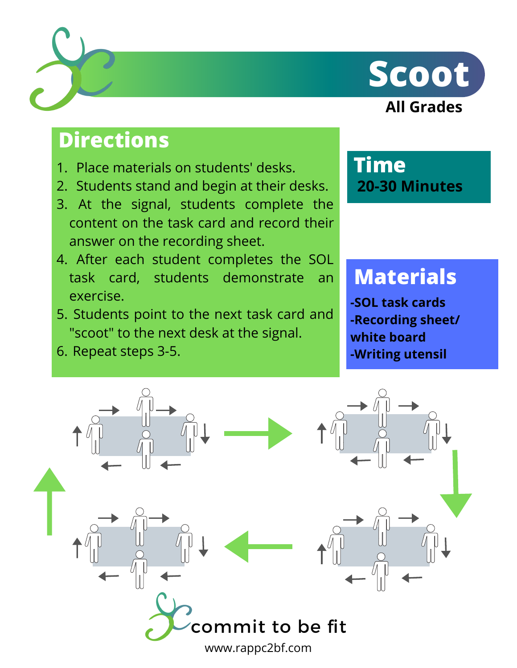



### **Directions**

- 1. Place materials on students' desks.
- 2. Students stand and begin at their desks.
- At the signal, students complete the 3. content on the task card and record their answer on the recording sheet.
- After each student completes the SOL 4. task card, students demonstrate an exercise.
- 5. Students point to the next task card and "scoot" to the next desk at the signal.
- 6. Repeat steps 3-5.

#### **Time 20-30 Minutes**

## **Materials**

**-SOL task cards -Recording sheet/ white board -Writing utensil**

ommit to be fit www.rappc2bf.com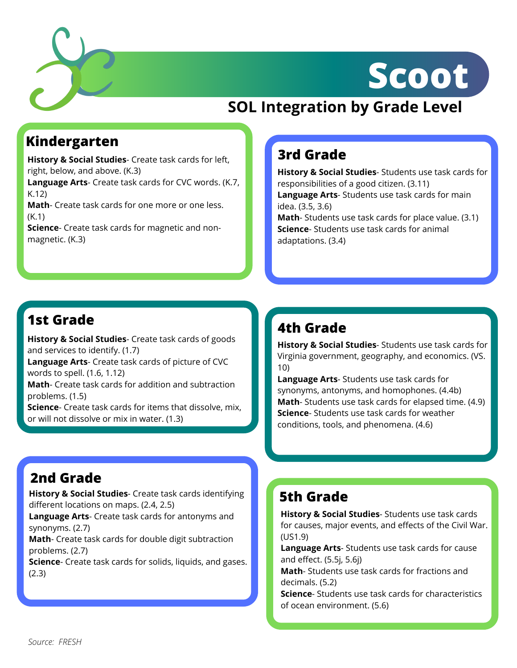

## **Scoot**

#### **SOL Integration by Grade Level**

#### **Kindergarten**

**History & Social Studies**- Create task cards for left, right, below, and above. (K.3)

**Language Arts**- Create task cards for CVC words. (K.7, K.12)

**Math**- Create task cards for one more or one less. (K.1)

**Science**- Create task cards for magnetic and non magnetic. (K.3)

#### **3rd Grade**

**History & Social Studies**- Students use task cards for responsibilities of a good citizen. (3.11) **Language Arts**- Students use task cards for main idea. (3.5, 3.6) **Math**- Students use task cards for place value. (3.1) **Science**- Students use task cards for animal adaptations. (3.4)

#### **1st Grade**

**History & Social Studies**- Create task cards of goods and services to identify. (1.7)

**Language Arts**- Create task cards of picture of CVC words to spell. (1.6, 1.12)

**Math**- Create task cards for addition and subtraction problems. (1.5)

**Science**- Create task cards for items that dissolve, mix, or will not dissolve or mix in water. (1.3)

#### **2nd Grade**

**History & Social Studies**- Create task cards identifying different locations on maps. (2.4, 2.5)

**Language Arts**- Create task cards for antonyms and synonyms. (2.7)

**Math**- Create task cards for double digit subtraction problems. (2.7)

**Science**- Create task cards for solids, liquids, and gases. (2.3)

#### **4th Grade**

**History & Social Studies**- Students use task cards for Virginia government, geography, and economics. (VS. 10)

**Language Arts**- Students use task cards for synonyms, antonyms, and homophones. (4.4b) **Math**- Students use task cards for elapsed time. (4.9) **Science**- Students use task cards for weather conditions, tools, and phenomena. (4.6)

#### **5th Grade**

**History & Social Studies**- Students use task cards for causes, major events, and effects of the Civil War. (US1.9)

**Language Arts**- Students use task cards for cause and effect. (5.5j, 5.6j)

**Math**- Students use task cards for fractions and decimals. (5.2)

**Science**- Students use task cards for characteristics of ocean environment. (5.6)